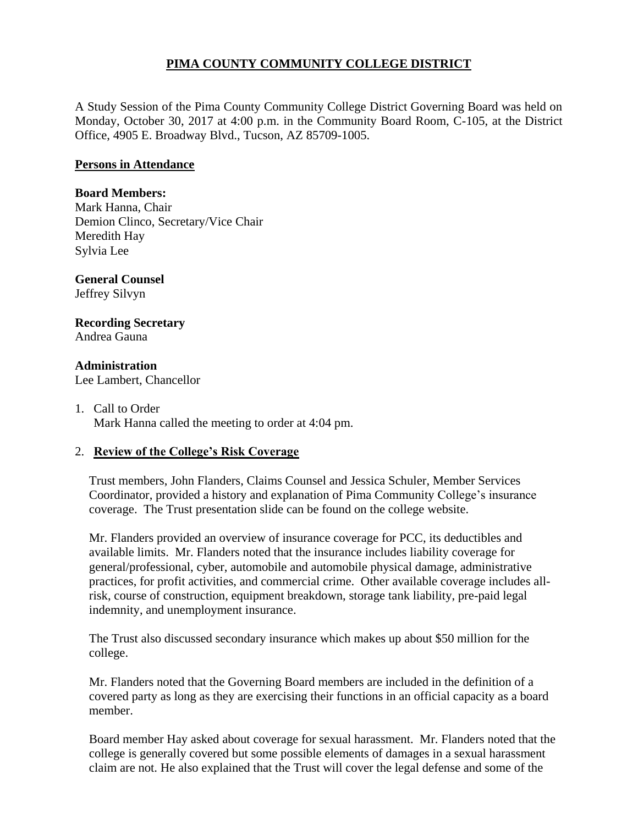# **PIMA COUNTY COMMUNITY COLLEGE DISTRICT**

A Study Session of the Pima County Community College District Governing Board was held on Monday, October 30, 2017 at 4:00 p.m. in the Community Board Room, C-105, at the District Office, 4905 E. Broadway Blvd., Tucson, AZ 85709-1005.

#### **Persons in Attendance**

### **Board Members:**

Mark Hanna, Chair Demion Clinco, Secretary/Vice Chair Meredith Hay Sylvia Lee

#### **General Counsel**  Jeffrey Silvyn

### **Recording Secretary** Andrea Gauna

**Administration** Lee Lambert, Chancellor

1. Call to Order Mark Hanna called the meeting to order at 4:04 pm.

## 2. **Review of the College's Risk Coverage**

Trust members, John Flanders, Claims Counsel and Jessica Schuler, Member Services Coordinator, provided a history and explanation of Pima Community College's insurance coverage. The Trust presentation slide can be found on the college website.

Mr. Flanders provided an overview of insurance coverage for PCC, its deductibles and available limits. Mr. Flanders noted that the insurance includes liability coverage for general/professional, cyber, automobile and automobile physical damage, administrative practices, for profit activities, and commercial crime. Other available coverage includes allrisk, course of construction, equipment breakdown, storage tank liability, pre-paid legal indemnity, and unemployment insurance.

The Trust also discussed secondary insurance which makes up about \$50 million for the college.

Mr. Flanders noted that the Governing Board members are included in the definition of a covered party as long as they are exercising their functions in an official capacity as a board member.

Board member Hay asked about coverage for sexual harassment. Mr. Flanders noted that the college is generally covered but some possible elements of damages in a sexual harassment claim are not. He also explained that the Trust will cover the legal defense and some of the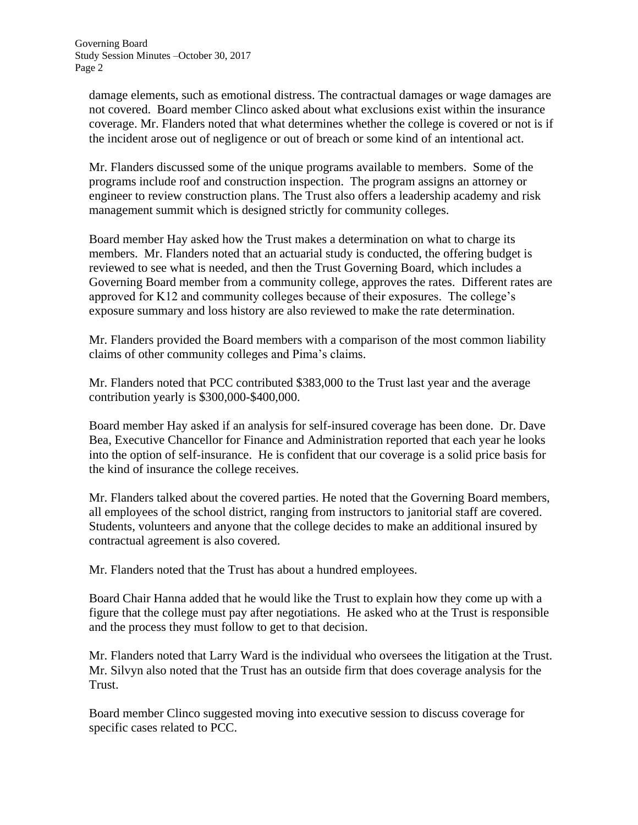damage elements, such as emotional distress. The contractual damages or wage damages are not covered. Board member Clinco asked about what exclusions exist within the insurance coverage. Mr. Flanders noted that what determines whether the college is covered or not is if the incident arose out of negligence or out of breach or some kind of an intentional act.

Mr. Flanders discussed some of the unique programs available to members. Some of the programs include roof and construction inspection. The program assigns an attorney or engineer to review construction plans. The Trust also offers a leadership academy and risk management summit which is designed strictly for community colleges.

Board member Hay asked how the Trust makes a determination on what to charge its members. Mr. Flanders noted that an actuarial study is conducted, the offering budget is reviewed to see what is needed, and then the Trust Governing Board, which includes a Governing Board member from a community college, approves the rates. Different rates are approved for K12 and community colleges because of their exposures. The college's exposure summary and loss history are also reviewed to make the rate determination.

Mr. Flanders provided the Board members with a comparison of the most common liability claims of other community colleges and Pima's claims.

Mr. Flanders noted that PCC contributed \$383,000 to the Trust last year and the average contribution yearly is \$300,000-\$400,000.

Board member Hay asked if an analysis for self-insured coverage has been done. Dr. Dave Bea, Executive Chancellor for Finance and Administration reported that each year he looks into the option of self-insurance. He is confident that our coverage is a solid price basis for the kind of insurance the college receives.

Mr. Flanders talked about the covered parties. He noted that the Governing Board members, all employees of the school district, ranging from instructors to janitorial staff are covered. Students, volunteers and anyone that the college decides to make an additional insured by contractual agreement is also covered.

Mr. Flanders noted that the Trust has about a hundred employees.

Board Chair Hanna added that he would like the Trust to explain how they come up with a figure that the college must pay after negotiations. He asked who at the Trust is responsible and the process they must follow to get to that decision.

Mr. Flanders noted that Larry Ward is the individual who oversees the litigation at the Trust. Mr. Silvyn also noted that the Trust has an outside firm that does coverage analysis for the Trust.

Board member Clinco suggested moving into executive session to discuss coverage for specific cases related to PCC.